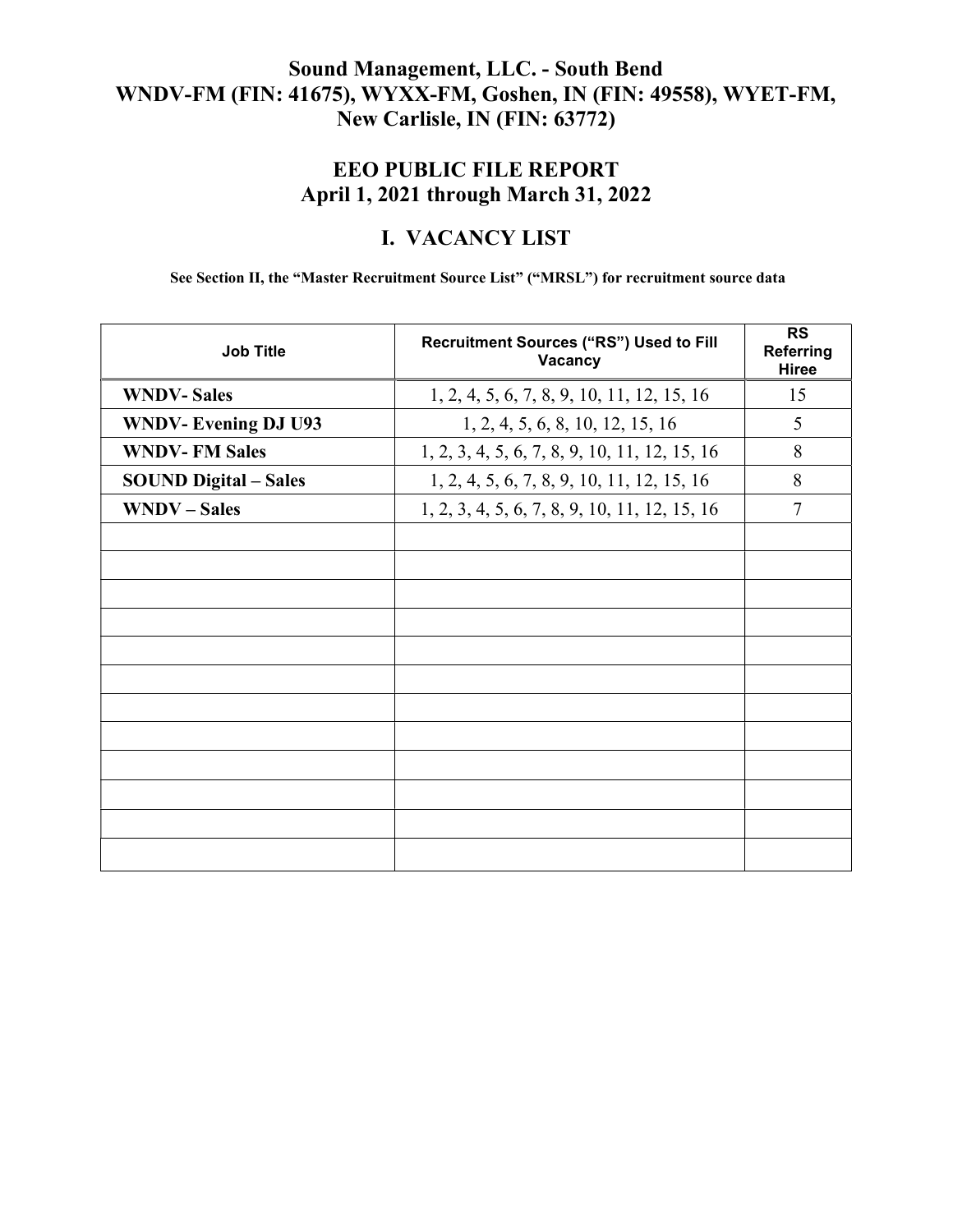### Sound Management, LLC. - South Bend WNDV-FM (FIN: 41675), WYXX-FM, Goshen, IN (FIN: 49558), WYET-FM, New Carlisle, IN (FIN: 63772)

## EEO PUBLIC FILE REPORT April 1, 2021 through March 31, 2022

### I. VACANCY LIST

See Section II, the "Master Recruitment Source List" ("MRSL") for recruitment source data

| <b>Job Title</b>             | Recruitment Sources ("RS") Used to Fill<br>Vacancy | <b>RS</b><br><b>Referring</b><br><b>Hiree</b> |
|------------------------------|----------------------------------------------------|-----------------------------------------------|
| <b>WNDV-Sales</b>            | 1, 2, 4, 5, 6, 7, 8, 9, 10, 11, 12, 15, 16         | 15                                            |
| <b>WNDV-Evening DJ U93</b>   | 1, 2, 4, 5, 6, 8, 10, 12, 15, 16                   | 5                                             |
| <b>WNDV-FM Sales</b>         | 1, 2, 3, 4, 5, 6, 7, 8, 9, 10, 11, 12, 15, 16      | 8                                             |
| <b>SOUND Digital – Sales</b> | 1, 2, 4, 5, 6, 7, 8, 9, 10, 11, 12, 15, 16         | 8                                             |
| <b>WNDV</b> – Sales          | 1, 2, 3, 4, 5, 6, 7, 8, 9, 10, 11, 12, 15, 16      | $\overline{7}$                                |
|                              |                                                    |                                               |
|                              |                                                    |                                               |
|                              |                                                    |                                               |
|                              |                                                    |                                               |
|                              |                                                    |                                               |
|                              |                                                    |                                               |
|                              |                                                    |                                               |
|                              |                                                    |                                               |
|                              |                                                    |                                               |
|                              |                                                    |                                               |
|                              |                                                    |                                               |
|                              |                                                    |                                               |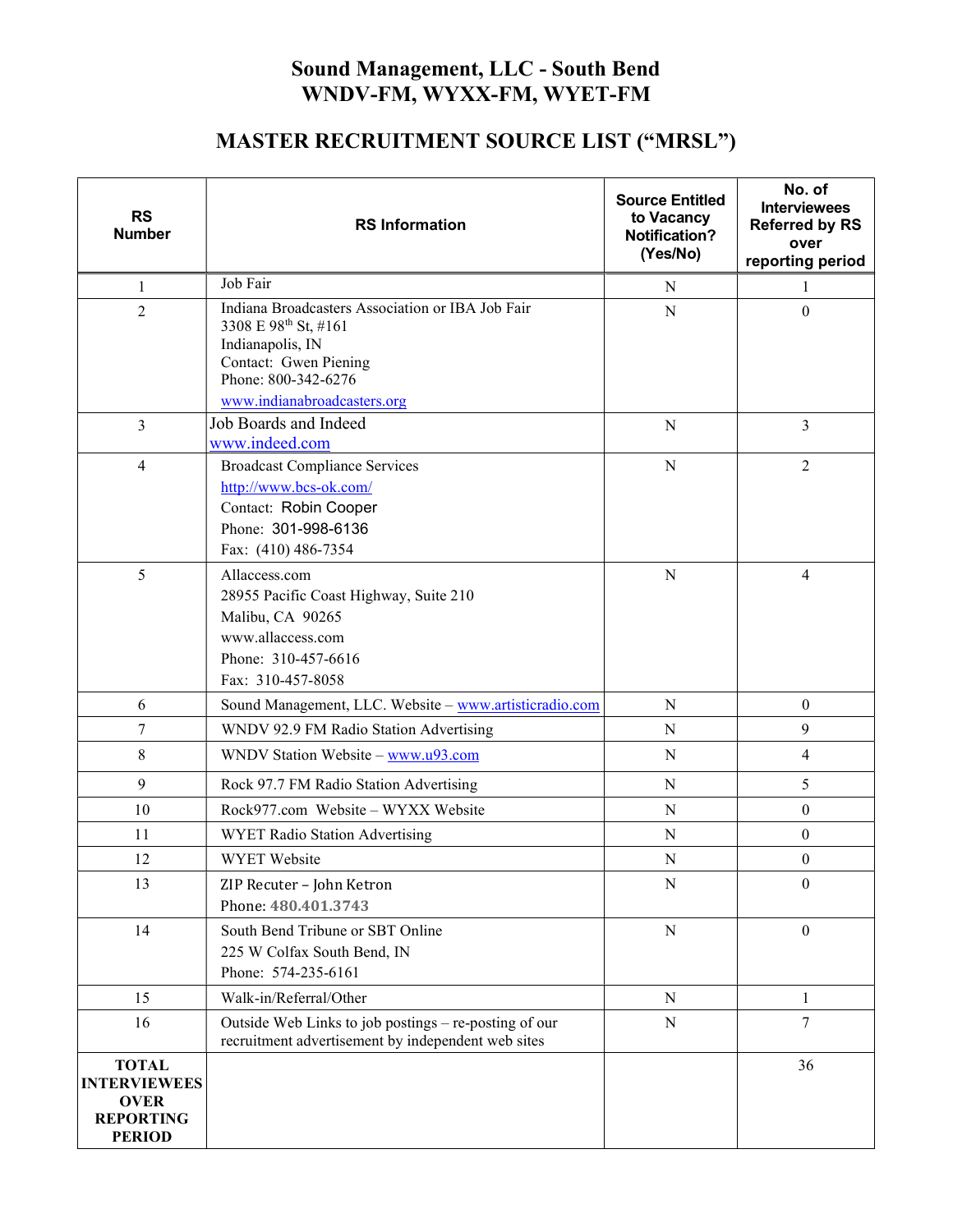## Sound Management, LLC - South Bend WNDV-FM, WYXX-FM, WYET-FM

# MASTER RECRUITMENT SOURCE LIST ("MRSL")

| <b>RS</b><br><b>Number</b>                                                              | <b>RS</b> Information                                                                                                                                                       | <b>Source Entitled</b><br>to Vacancy<br><b>Notification?</b><br>(Yes/No) | No. of<br><b>Interviewees</b><br><b>Referred by RS</b><br>over<br>reporting period |
|-----------------------------------------------------------------------------------------|-----------------------------------------------------------------------------------------------------------------------------------------------------------------------------|--------------------------------------------------------------------------|------------------------------------------------------------------------------------|
| 1                                                                                       | Job Fair                                                                                                                                                                    | N                                                                        | 1                                                                                  |
| $\overline{2}$                                                                          | Indiana Broadcasters Association or IBA Job Fair<br>3308 E 98th St, #161<br>Indianapolis, IN<br>Contact: Gwen Piening<br>Phone: 800-342-6276<br>www.indianabroadcasters.org | N                                                                        | $\boldsymbol{0}$                                                                   |
| $\overline{3}$                                                                          | Job Boards and Indeed<br>www.indeed.com                                                                                                                                     | N                                                                        | 3                                                                                  |
| 4                                                                                       | <b>Broadcast Compliance Services</b><br>http://www.bcs-ok.com/<br>Contact: Robin Cooper<br>Phone: 301-998-6136<br>Fax: (410) 486-7354                                       | N                                                                        | $\overline{2}$                                                                     |
| 5                                                                                       | Allaccess.com<br>28955 Pacific Coast Highway, Suite 210<br>Malibu, CA 90265<br>www.allaccess.com<br>Phone: 310-457-6616<br>Fax: 310-457-8058                                | N                                                                        | 4                                                                                  |
| 6                                                                                       | Sound Management, LLC. Website - www.artisticradio.com                                                                                                                      | $\mathbf N$                                                              | $\boldsymbol{0}$                                                                   |
| 7                                                                                       | WNDV 92.9 FM Radio Station Advertising                                                                                                                                      | ${\bf N}$                                                                | 9                                                                                  |
| 8                                                                                       | WNDV Station Website - www.u93.com                                                                                                                                          | N                                                                        | 4                                                                                  |
| 9                                                                                       | Rock 97.7 FM Radio Station Advertising                                                                                                                                      | $\mathbf N$                                                              | 5                                                                                  |
| 10                                                                                      | Rock977.com Website - WYXX Website                                                                                                                                          | ${\bf N}$                                                                | $\boldsymbol{0}$                                                                   |
| 11                                                                                      | WYET Radio Station Advertising                                                                                                                                              | N                                                                        | $\boldsymbol{0}$                                                                   |
| 12                                                                                      | <b>WYET</b> Website                                                                                                                                                         | $\mathbf N$                                                              | $\boldsymbol{0}$                                                                   |
| 13                                                                                      | ZIP Recuter - John Ketron<br>Phone: 480.401.3743                                                                                                                            | N                                                                        | $\theta$                                                                           |
| 14                                                                                      | South Bend Tribune or SBT Online<br>225 W Colfax South Bend, IN<br>Phone: 574-235-6161                                                                                      | $\mathbf N$                                                              | $\boldsymbol{0}$                                                                   |
| 15                                                                                      | Walk-in/Referral/Other                                                                                                                                                      | ${\bf N}$                                                                | $\mathbf{1}$                                                                       |
| 16                                                                                      | Outside Web Links to job postings - re-posting of our<br>recruitment advertisement by independent web sites                                                                 | N                                                                        | 7                                                                                  |
| <b>TOTAL</b><br><b>INTERVIEWEES</b><br><b>OVER</b><br><b>REPORTING</b><br><b>PERIOD</b> |                                                                                                                                                                             |                                                                          | 36                                                                                 |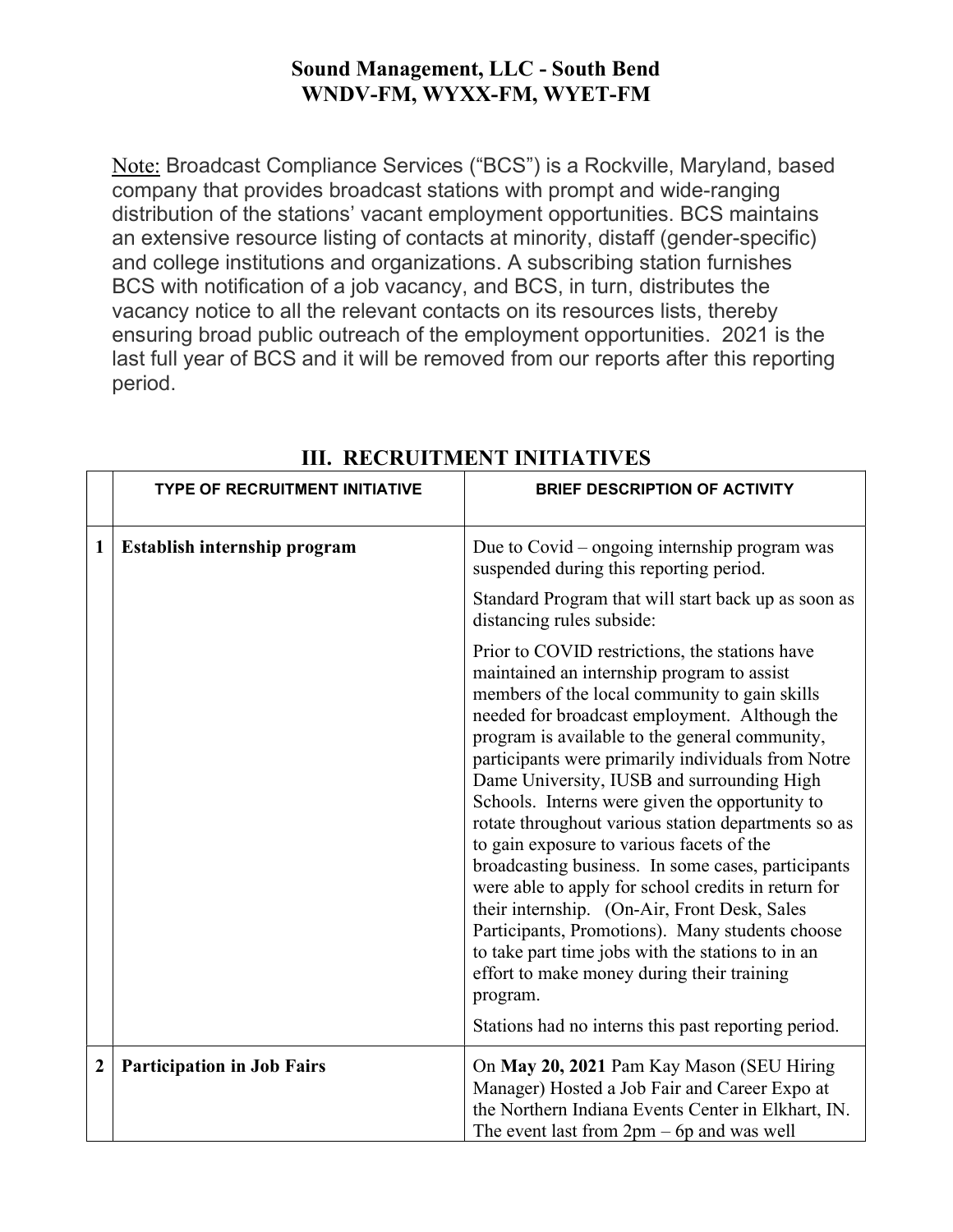### Sound Management, LLC - South Bend WNDV-FM, WYXX-FM, WYET-FM

Note: Broadcast Compliance Services ("BCS") is a Rockville, Maryland, based company that provides broadcast stations with prompt and wide-ranging distribution of the stations' vacant employment opportunities. BCS maintains an extensive resource listing of contacts at minority, distaff (gender-specific) and college institutions and organizations. A subscribing station furnishes BCS with notification of a job vacancy, and BCS, in turn, distributes the vacancy notice to all the relevant contacts on its resources lists, thereby ensuring broad public outreach of the employment opportunities. 2021 is the last full year of BCS and it will be removed from our reports after this reporting period.

|              | <b>TYPE OF RECRUITMENT INITIATIVE</b> | <b>BRIEF DESCRIPTION OF ACTIVITY</b>                                                                                                                                                                                                                                                                                                                                                                                                                                                                                                                                                                                                                                                                                                                                                                                                                                                             |
|--------------|---------------------------------------|--------------------------------------------------------------------------------------------------------------------------------------------------------------------------------------------------------------------------------------------------------------------------------------------------------------------------------------------------------------------------------------------------------------------------------------------------------------------------------------------------------------------------------------------------------------------------------------------------------------------------------------------------------------------------------------------------------------------------------------------------------------------------------------------------------------------------------------------------------------------------------------------------|
| 1            | Establish internship program          | Due to Covid – ongoing internship program was<br>suspended during this reporting period.                                                                                                                                                                                                                                                                                                                                                                                                                                                                                                                                                                                                                                                                                                                                                                                                         |
|              |                                       | Standard Program that will start back up as soon as<br>distancing rules subside:                                                                                                                                                                                                                                                                                                                                                                                                                                                                                                                                                                                                                                                                                                                                                                                                                 |
|              |                                       | Prior to COVID restrictions, the stations have<br>maintained an internship program to assist<br>members of the local community to gain skills<br>needed for broadcast employment. Although the<br>program is available to the general community,<br>participants were primarily individuals from Notre<br>Dame University, IUSB and surrounding High<br>Schools. Interns were given the opportunity to<br>rotate throughout various station departments so as<br>to gain exposure to various facets of the<br>broadcasting business. In some cases, participants<br>were able to apply for school credits in return for<br>their internship. (On-Air, Front Desk, Sales<br>Participants, Promotions). Many students choose<br>to take part time jobs with the stations to in an<br>effort to make money during their training<br>program.<br>Stations had no interns this past reporting period. |
| $\mathbf{2}$ | <b>Participation in Job Fairs</b>     | On May 20, 2021 Pam Kay Mason (SEU Hiring<br>Manager) Hosted a Job Fair and Career Expo at<br>the Northern Indiana Events Center in Elkhart, IN.<br>The event last from $2pm - 6p$ and was well                                                                                                                                                                                                                                                                                                                                                                                                                                                                                                                                                                                                                                                                                                  |

### III. RECRUITMENT INITIATIVES